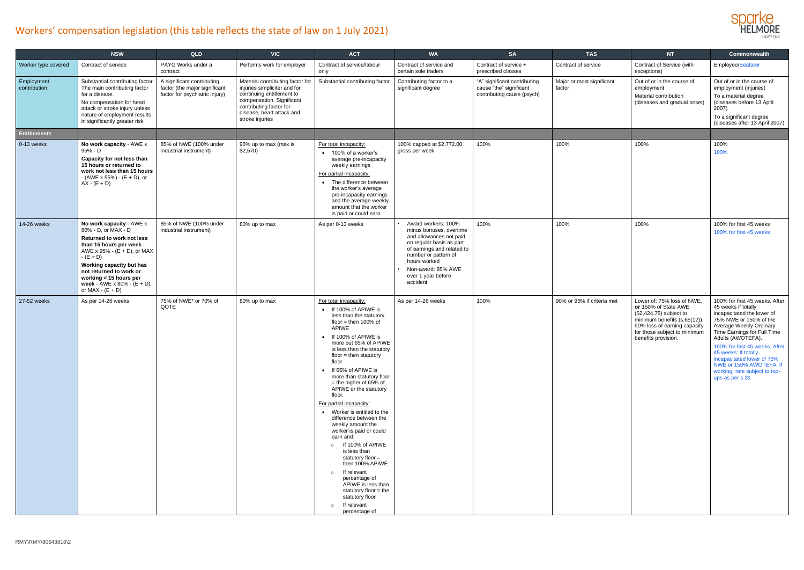

|                            | <b>NSW</b>                                                                                                                                                                                                                                                                                                       | QLD                                                                                           | <b>VIC</b>                                                                                                                                                                                            | <b>ACT</b>                                                                                                                                                                                                                                                                                                                                                                                                                                                                                                                                                                                                                                                                                                                                     | <b>WA</b>                                                                                                                                                                                                                           | <b>SA</b>                                                                             | <b>TAS</b>                          | <b>NT</b>                                                                                                                                                                                            | Commonwealth                                                                                                                                                                                                                                                                                                                                                        |
|----------------------------|------------------------------------------------------------------------------------------------------------------------------------------------------------------------------------------------------------------------------------------------------------------------------------------------------------------|-----------------------------------------------------------------------------------------------|-------------------------------------------------------------------------------------------------------------------------------------------------------------------------------------------------------|------------------------------------------------------------------------------------------------------------------------------------------------------------------------------------------------------------------------------------------------------------------------------------------------------------------------------------------------------------------------------------------------------------------------------------------------------------------------------------------------------------------------------------------------------------------------------------------------------------------------------------------------------------------------------------------------------------------------------------------------|-------------------------------------------------------------------------------------------------------------------------------------------------------------------------------------------------------------------------------------|---------------------------------------------------------------------------------------|-------------------------------------|------------------------------------------------------------------------------------------------------------------------------------------------------------------------------------------------------|---------------------------------------------------------------------------------------------------------------------------------------------------------------------------------------------------------------------------------------------------------------------------------------------------------------------------------------------------------------------|
| Worker type covered        | Contract of service                                                                                                                                                                                                                                                                                              | PAYG Works under a<br>contract                                                                | Performs work for employer                                                                                                                                                                            | Contract of service/labour<br>only                                                                                                                                                                                                                                                                                                                                                                                                                                                                                                                                                                                                                                                                                                             | Contract of service and<br>certain sole traders                                                                                                                                                                                     | Contract of service +<br>prescribed classes                                           | Contract of service                 | Contract of Service (with<br>exceptions)                                                                                                                                                             | Employee/Seafarer                                                                                                                                                                                                                                                                                                                                                   |
| Employment<br>contribution | Substantial contributing factor<br>The main contributing factor<br>for a disease.<br>No compensation for heart<br>attack or stroke injury unless<br>nature of employment results<br>in significantly greater risk                                                                                                | A significant contributing<br>factor (the major significant<br>factor for psychiatric injury) | Material contributing factor for<br>injuries simpliciter and for<br>continuing entitlement to<br>compensation. Significant<br>contributing factor for<br>disease, heart attack and<br>stroke injuries | Substantial contributing factor                                                                                                                                                                                                                                                                                                                                                                                                                                                                                                                                                                                                                                                                                                                | Contributing factor to a<br>significant degree                                                                                                                                                                                      | "A" significant contributing<br>cause "the" significant<br>contributing cause (psych) | Major or most significant<br>factor | Out of or in the course of<br>employment<br>Material contribution<br>(diseases and gradual onset)                                                                                                    | Out of or in the course of<br>employment (injuries)<br>To a material degree<br>(diseases before 13 April<br>2007)<br>To a significant degree<br>(diseases after 13 April 2007)                                                                                                                                                                                      |
| <b>Entitlements</b>        |                                                                                                                                                                                                                                                                                                                  |                                                                                               |                                                                                                                                                                                                       |                                                                                                                                                                                                                                                                                                                                                                                                                                                                                                                                                                                                                                                                                                                                                |                                                                                                                                                                                                                                     |                                                                                       |                                     |                                                                                                                                                                                                      |                                                                                                                                                                                                                                                                                                                                                                     |
| 0-13 weeks                 | No work capacity - AWE x<br>95% - D<br>Capacity for not less than<br>15 hours or returned to<br>work not less than 15 hours<br>- (AWE x 95%) - (E + D), or<br>$AX - (E + D)$                                                                                                                                     | 85% of NWE (100% under<br>industrial instrument)                                              | 95% up to max (max is<br>$$2,570$ )                                                                                                                                                                   | For total incapacity:<br>• 100% of a worker's<br>average pre-incapacity<br>weekly earnings<br>For partial incapacity:<br>• The difference between<br>the worker's average<br>pre-incapacity earnings<br>and the average weekly<br>amount that the worker<br>is paid or could earn                                                                                                                                                                                                                                                                                                                                                                                                                                                              | 100% capped at \$2,772.00<br>gross per week                                                                                                                                                                                         | 100%                                                                                  | 100%                                | 100%                                                                                                                                                                                                 | 100%<br>100%                                                                                                                                                                                                                                                                                                                                                        |
| 14-26 weeks                | No work capacity - AWE x<br>80% - D, or MAX - D<br>Returned to work not less<br>than 15 hours per week -<br>AWE x 95% - $(\dot{E} + D)$ , or MAX<br>$-(E + D)$<br>Working capacity but has<br>not returned to work or<br>working < 15 hours per<br>week - $\angle$ AWE x 80% - $(E + D)$ ,<br>or MAX - $(E + D)$ | 85% of NWE (100% under<br>industrial instrument)                                              | 80% up to max                                                                                                                                                                                         | As per 0-13 weeks                                                                                                                                                                                                                                                                                                                                                                                                                                                                                                                                                                                                                                                                                                                              | Award workers: 100%<br>minus bonuses, overtime<br>and allowances not paid<br>on regular basis as part<br>of earnings and related to<br>number or pattern of<br>hours worked<br>Non-award: 85% AWE<br>over 1 year before<br>accident | 100%                                                                                  | 100%                                | 100%                                                                                                                                                                                                 | 100% for first 45 weeks<br>100% for first 45 weeks                                                                                                                                                                                                                                                                                                                  |
| 27-52 weeks                | As per 14-26 weeks                                                                                                                                                                                                                                                                                               | 75% of NWE* or 70% of<br>QOTE                                                                 | 80% up to max                                                                                                                                                                                         | For total incapacity:<br>• If 100% of APIWE is<br>less than the statutory<br>floor = then $100\%$ of<br>APIWE<br>• If 100% of APIWE is<br>more but 65% of APIWE<br>is less than the statutory<br>$floor = then$ statutory<br>floor<br>• If 65% of APIWE is<br>more than statutory floor<br>$=$ the higher of 65% of<br>APIWE or the statutory<br>floor.<br>For partial incapacity:<br>• Worker is entitled to the<br>difference between the<br>weekly amount the<br>worker is paid or could<br>earn and:<br>o If 100% of APIWE<br>is less than<br>statutory floor =<br>then 100% APIWE<br>If relevant<br>$\circ$<br>percentage of<br>APIWE is less than<br>statutory floor = the<br>statutory floor<br>If relevant<br>$\circ$<br>percentage of | As per 14-26 weeks                                                                                                                                                                                                                  | 100%                                                                                  | 90% or 95% if criteria met          | Lower of: 75% loss of NWE,<br>or 150% of State AWE<br>(\$2,424.75) subject to<br>minimum benefits (s.65(12)).<br>90% loss of earning capacity<br>for those subject to minimum<br>benefits provision. | 100% for first 45 weeks. After<br>45 weeks if totally<br>incapacitated the lower of<br>75% NWE or 150% of the<br>Average Weekly Ordinary<br>Time Earnings for Full Time<br>Adults (AWOTEFA).<br>100% for first 45 weeks. After<br>45 weeks: If totally<br>incapacitated lower of 75%<br>NWE or 150% AWOTEFA. If<br>working, rate subject to top-<br>ups as per s 31 |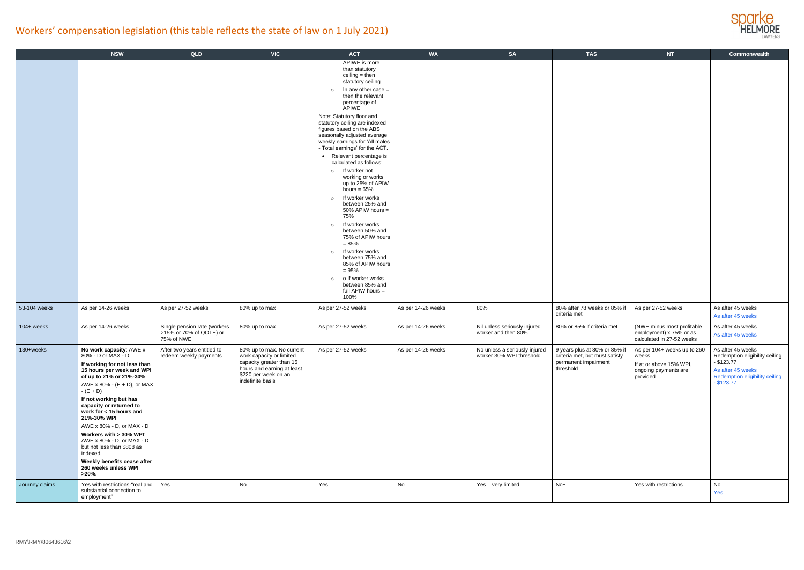

|                | <b>NSW</b>                                                                                                                                                                                                                                                                                                                                                                                                                                                                              | QLD                                                                   | <b>VIC</b>                                                                                                                                                  | <b>ACT</b>                                                                                                                                                                                                                                                                                                                                                                                                                                                                                                                                                                                                                                                                                                                                                                                                                       | <b>WA</b>          | <b>SA</b>                                                 | <b>TAS</b>                                                                                           | <b>NT</b>                                                                                           | Commonwealth                                                                                                                               |
|----------------|-----------------------------------------------------------------------------------------------------------------------------------------------------------------------------------------------------------------------------------------------------------------------------------------------------------------------------------------------------------------------------------------------------------------------------------------------------------------------------------------|-----------------------------------------------------------------------|-------------------------------------------------------------------------------------------------------------------------------------------------------------|----------------------------------------------------------------------------------------------------------------------------------------------------------------------------------------------------------------------------------------------------------------------------------------------------------------------------------------------------------------------------------------------------------------------------------------------------------------------------------------------------------------------------------------------------------------------------------------------------------------------------------------------------------------------------------------------------------------------------------------------------------------------------------------------------------------------------------|--------------------|-----------------------------------------------------------|------------------------------------------------------------------------------------------------------|-----------------------------------------------------------------------------------------------------|--------------------------------------------------------------------------------------------------------------------------------------------|
|                |                                                                                                                                                                                                                                                                                                                                                                                                                                                                                         |                                                                       |                                                                                                                                                             | APIWE is more<br>than statutory<br>$ceiling = then$<br>statutory ceiling<br>In any other case =<br>$\circ$<br>then the relevant<br>percentage of<br>APIWE<br>Note: Statutory floor and<br>statutory ceiling are indexed<br>figures based on the ABS<br>seasonally adjusted average<br>weekly earnings for 'All males<br>- Total earnings' for the ACT.<br>• Relevant percentage is<br>calculated as follows:<br>If worker not<br>$\circ$<br>working or works<br>up to 25% of APIW<br>hours = $65%$<br>If worker works<br>$\circ$<br>between 25% and<br>50% APIW hours =<br>75%<br>If worker works<br>$\circ$<br>between 50% and<br>75% of APIW hours<br>$= 85%$<br>If worker works<br>$\circ$<br>between 75% and<br>85% of APIW hours<br>$= 95%$<br>o If worker works<br>$\circ$<br>between 85% and<br>full APIW hours =<br>100% |                    |                                                           |                                                                                                      |                                                                                                     |                                                                                                                                            |
| 53-104 weeks   | As per 14-26 weeks                                                                                                                                                                                                                                                                                                                                                                                                                                                                      | As per 27-52 weeks                                                    | 80% up to max                                                                                                                                               | As per 27-52 weeks                                                                                                                                                                                                                                                                                                                                                                                                                                                                                                                                                                                                                                                                                                                                                                                                               | As per 14-26 weeks | 80%                                                       | 80% after 78 weeks or 85% if<br>criteria met                                                         | As per 27-52 weeks                                                                                  | As after 45 weeks<br>As after 45 weeks                                                                                                     |
| $104 +$ weeks  | As per 14-26 weeks                                                                                                                                                                                                                                                                                                                                                                                                                                                                      | Single pension rate (workers<br>>15% or 70% of QOTE) or<br>75% of NWE | 80% up to max                                                                                                                                               | As per 27-52 weeks                                                                                                                                                                                                                                                                                                                                                                                                                                                                                                                                                                                                                                                                                                                                                                                                               | As per 14-26 weeks | Nil unless seriously injured<br>worker and then 80%       | 80% or 85% if criteria met                                                                           | (NWE minus most profitable<br>employment) x 75% or as<br>calculated in 27-52 weeks                  | As after 45 weeks<br>As after 45 weeks                                                                                                     |
| 130+weeks      | No work capacity: AWE x<br>80% - D or MAX - D<br>If working for not less than<br>15 hours per week and WPI<br>of up to 21% or 21%-30%<br>AWE x 80% - $(E + D)$ , or MAX<br>$-(E + D)$<br>If not working but has<br>capacity or returned to<br>work for < 15 hours and<br>21%-30% WPI<br>AWE x 80% - D, or MAX - D<br>Workers with > 30% WPI:<br>AWE x 80% - D, or MAX - D<br>but not less than \$808 as<br>indexed.<br>Weekly benefits cease after<br>260 weeks unless WPI<br>$>20\%$ . | After two years entitled to<br>redeem weekly payments                 | 80% up to max. No current<br>work capacity or limited<br>capacity greater than 15<br>hours and earning at least<br>\$220 per week on an<br>indefinite basis | As per 27-52 weeks                                                                                                                                                                                                                                                                                                                                                                                                                                                                                                                                                                                                                                                                                                                                                                                                               | As per 14-26 weeks | No unless a seriously injured<br>worker 30% WPI threshold | 9 years plus at 80% or 85% if<br>criteria met, but must satisfy<br>permanent impairment<br>threshold | As per 104+ weeks up to 260<br>weeks<br>If at or above 15% WPI,<br>ongoing payments are<br>provided | As after 45 weeks<br>Redemption eligibility ceiling<br>$-$ \$123.77<br>As after 45 weeks<br>Redemption eligibility ceiling<br>$-$ \$123.77 |
| Journey claims | Yes with restrictions-"real and   Yes<br>substantial connection to<br>employment"                                                                                                                                                                                                                                                                                                                                                                                                       |                                                                       | No                                                                                                                                                          | Yes                                                                                                                                                                                                                                                                                                                                                                                                                                                                                                                                                                                                                                                                                                                                                                                                                              | No                 | Yes - very limited                                        | $No+$                                                                                                | Yes with restrictions                                                                               | No<br>Yes                                                                                                                                  |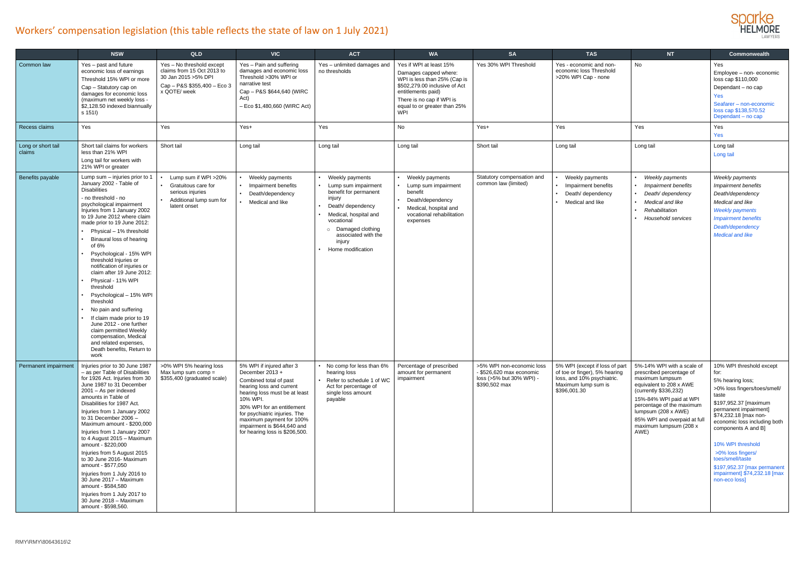

|                              | <b>NSW</b>                                                                                                                                                                                                                                                                                                                                                                                                                                                                                                                                                                                                                                                                                       | QLD                                                                                                                            | <b>VIC</b>                                                                                                                                                                                                                                                                                                  | <b>ACT</b>                                                                                                                                                                                                                 | <b>WA</b>                                                                                                                                                                                                   | <b>SA</b>                                                                                          | <b>TAS</b>                                                                                                                           | <b>NT</b>                                                                                                                                                                                                                                                                      | <b>Commonwealth</b>                                                                                                                                                                                                                                                                                                                                                           |
|------------------------------|--------------------------------------------------------------------------------------------------------------------------------------------------------------------------------------------------------------------------------------------------------------------------------------------------------------------------------------------------------------------------------------------------------------------------------------------------------------------------------------------------------------------------------------------------------------------------------------------------------------------------------------------------------------------------------------------------|--------------------------------------------------------------------------------------------------------------------------------|-------------------------------------------------------------------------------------------------------------------------------------------------------------------------------------------------------------------------------------------------------------------------------------------------------------|----------------------------------------------------------------------------------------------------------------------------------------------------------------------------------------------------------------------------|-------------------------------------------------------------------------------------------------------------------------------------------------------------------------------------------------------------|----------------------------------------------------------------------------------------------------|--------------------------------------------------------------------------------------------------------------------------------------|--------------------------------------------------------------------------------------------------------------------------------------------------------------------------------------------------------------------------------------------------------------------------------|-------------------------------------------------------------------------------------------------------------------------------------------------------------------------------------------------------------------------------------------------------------------------------------------------------------------------------------------------------------------------------|
| Common law                   | Yes - past and future<br>economic loss of earnings<br>Threshold 15% WPI or more<br>Cap - Statutory cap on<br>damages for economic loss<br>(maximum net weekly loss -<br>\$2,128.50 indexed biannually<br>s 151l)                                                                                                                                                                                                                                                                                                                                                                                                                                                                                 | Yes - No threshold except<br>claims from 15 Oct 2013 to<br>30 Jan 2015 > 5% DPI<br>Cap - P&S \$355,400 - Eco 3<br>x QOTE/ week | Yes - Pain and suffering<br>damages and economic loss<br>Threshold >30% WPI or<br>narrative test<br>Cap - P&S \$644,640 (WIRC<br>Act)<br>- Eco \$1,480,660 (WIRC Act)                                                                                                                                       | Yes - unlimited damages and<br>no thresholds                                                                                                                                                                               | Yes if WPI at least 15%<br>Damages capped where:<br>WPI is less than 25% (Cap is<br>\$502,279.00 inclusive of Act<br>entitlements paid)<br>There is no cap if WPI is<br>equal to or greater than 25%<br>WPI | Yes 30% WPI Threshold                                                                              | Yes - economic and non-<br>economic loss Threshold<br>>20% WPI Cap - none                                                            | No                                                                                                                                                                                                                                                                             | Yes<br>Employee - non- economic<br>loss cap \$110,000<br>Dependant - no cap<br>Yes<br>Seafarer - non-economic<br>loss cap \$138,570.52<br>Dependant - no cap                                                                                                                                                                                                                  |
| Recess claims                | Yes                                                                                                                                                                                                                                                                                                                                                                                                                                                                                                                                                                                                                                                                                              | Yes                                                                                                                            | Yes+                                                                                                                                                                                                                                                                                                        | Yes                                                                                                                                                                                                                        | No                                                                                                                                                                                                          | Yes+                                                                                               | Yes                                                                                                                                  | Yes                                                                                                                                                                                                                                                                            | Yes<br>Yes                                                                                                                                                                                                                                                                                                                                                                    |
| Long or short tail<br>claims | Short tail claims for workers<br>less than 21% WPI<br>Long tail for workers with<br>21% WPI or greater                                                                                                                                                                                                                                                                                                                                                                                                                                                                                                                                                                                           | Short tail                                                                                                                     | Long tail                                                                                                                                                                                                                                                                                                   | Long tail                                                                                                                                                                                                                  | Long tail                                                                                                                                                                                                   | Short tail                                                                                         | Long tail                                                                                                                            | Long tail                                                                                                                                                                                                                                                                      | Long tail<br>Long tail                                                                                                                                                                                                                                                                                                                                                        |
| Benefits payable             | Lump sum - injuries prior to 1<br>January 2002 - Table of<br><b>Disabilities</b><br>- no threshold - no<br>psychological impairment<br>Injuries from 1 January 2002<br>to 19 June 2012 where claim<br>made prior to 19 June 2012:<br>Physical - 1% threshold<br>Binaural loss of hearing<br>of $6%$<br>Psychological - 15% WPI<br>threshold Injuries or<br>notification of injuries or<br>claim after 19 June 2012:<br>Physical - 11% WPI<br>threshold<br>Psychological - 15% WPI<br>threshold<br>No pain and suffering<br>If claim made prior to 19<br>June 2012 - one further<br>claim permitted Weekly<br>compensation, Medical<br>and related expenses,<br>Death benefits, Return to<br>work | Lump sum if WPI >20%<br>Gratuitous care for<br>serious injuries<br>Additional lump sum for<br>latent onset                     | Weekly payments<br>Impairment benefits<br>Death/dependency<br>Medical and like                                                                                                                                                                                                                              | Weekly payments<br>Lump sum impairment<br>benefit for permanent<br>injury<br>Death/ dependency<br>Medical, hospital and<br>vocational<br>Damaged clothing<br>$\circ$<br>associated with the<br>injury<br>Home modification | Weekly payments<br>Lump sum impairment<br>benefit<br>Death/dependency<br>Medical, hospital and<br>vocational rehabilitation<br>expenses                                                                     | Statutory compensation and<br>common law (limited)                                                 | Weekly payments<br>Impairment benefits<br>Death/ dependency<br>Medical and like                                                      | Weekly payments<br>Impairment benefits<br>Death/ dependency<br>Medical and like<br>Rehabilitation<br>Household services                                                                                                                                                        | Weekly payments<br>Impairment benefits<br>Death/dependency<br>Medical and like<br><b>Weekly payments</b><br><b>Impairment benefits</b><br>Death/dependency<br><b>Medical and like</b>                                                                                                                                                                                         |
| Permanent impairment         | Injuries prior to 30 June 1987<br>- as per Table of Disabilities<br>for 1926 Act. Injuries from 30<br>June 1987 to 31 December<br>2001 - As per indexed<br>amounts in Table of<br>Disabilities for 1987 Act.<br>Injuries from 1 January 2002<br>to 31 December 2006 -<br>Maximum amount - \$200,000<br>Injuries from 1 January 2007<br>to 4 August 2015 - Maximum<br>amount - \$220,000<br>Injuries from 5 August 2015<br>to 30 June 2016- Maximum<br>amount - \$577,050<br>Injuries from 1 July 2016 to<br>30 June 2017 - Maximum<br>amount - \$584,580<br>Injuries from 1 July 2017 to<br>30 June 2018 - Maximum<br>amount - \$598,560.                                                        | >0% WPI 5% hearing loss<br>Max lump sum comp $=$<br>\$355,400 (graduated scale)                                                | 5% WPI if injured after 3<br>December 2013 +<br>Combined total of past<br>hearing loss and current<br>hearing loss must be at least<br>10% WPI.<br>30% WPI for an entitlement<br>for psychiatric injuries. The<br>maximum payment for 100%<br>impairment is \$644,640 and<br>for hearing loss is \$206,500. | No comp for less than 6%<br>hearing loss<br>Refer to schedule 1 of WC<br>Act for percentage of<br>single loss amount<br>payable                                                                                            | Percentage of prescribed<br>amount for permanent<br>impairment                                                                                                                                              | >5% WPI non-economic loss<br>- \$526.620 max economic<br>loss (>5% but 30% WPI) -<br>\$390,502 max | 5% WPI (except if loss of part<br>of toe or finger), 5% hearing<br>loss, and 10% psychiatric.<br>Maximum lump sum is<br>\$396,001.30 | 5%-14% WPI with a scale of<br>prescribed percentage of<br>maximum lumpsum<br>equivalent to 208 x AWE<br>(currently \$336,232)<br>15%-84% WPI paid at WPI<br>percentage of the maximum<br>lumpsum (208 x AWE)<br>85% WPI and overpaid at full<br>maximum lumpsum (208 x<br>AWE) | 10% WPI threshold except<br>for:<br>5% hearing loss;<br>>0% loss fingers/toes/smell/<br>taste<br>\$197,952.37 [maximum<br>permanent impairment]<br>\$74,232.18 [max non-<br>economic loss including both<br>components A and B]<br>10% WPI threshold<br>>0% loss fingers/<br>toes/smell/taste<br>\$197,952.37 [max permanent<br>impairment] \$74,232.18 [max<br>non-eco loss] |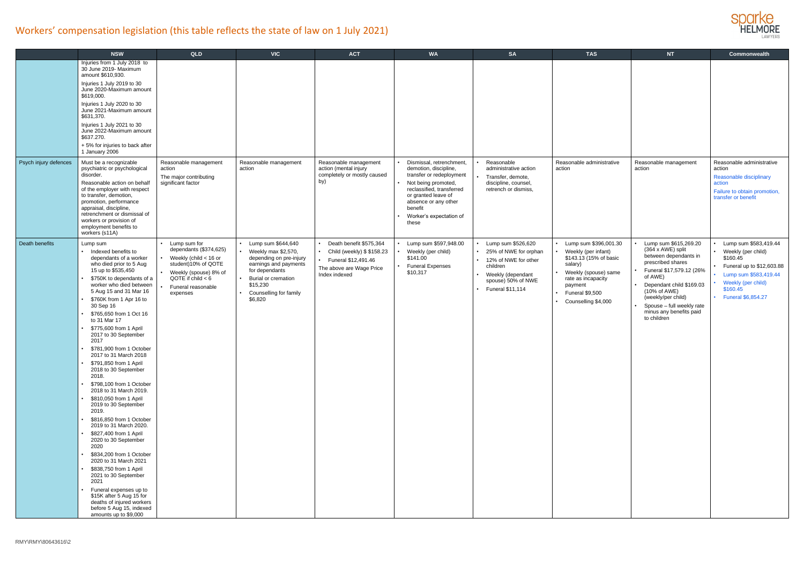

|                       | <b>NSW</b>                                                                                                                                                                                                                                                                                                                                                                                                                                                                                                                                                                                                                                                                                                                                                                                                                                                                                                                                        | <b>QLD</b>                                                                                                                                                                 | <b>VIC</b>                                                                                                                                                                              | <b>ACT</b>                                                                                                                | <b>WA</b>                                                                                                                                                                                                                       | <b>SA</b>                                                                                                                                             | <b>TAS</b>                                                                                                                                                                               | NT                                                                                                                                                                                                                                                                       | Commonwealth                                                                                                                                                          |
|-----------------------|---------------------------------------------------------------------------------------------------------------------------------------------------------------------------------------------------------------------------------------------------------------------------------------------------------------------------------------------------------------------------------------------------------------------------------------------------------------------------------------------------------------------------------------------------------------------------------------------------------------------------------------------------------------------------------------------------------------------------------------------------------------------------------------------------------------------------------------------------------------------------------------------------------------------------------------------------|----------------------------------------------------------------------------------------------------------------------------------------------------------------------------|-----------------------------------------------------------------------------------------------------------------------------------------------------------------------------------------|---------------------------------------------------------------------------------------------------------------------------|---------------------------------------------------------------------------------------------------------------------------------------------------------------------------------------------------------------------------------|-------------------------------------------------------------------------------------------------------------------------------------------------------|------------------------------------------------------------------------------------------------------------------------------------------------------------------------------------------|--------------------------------------------------------------------------------------------------------------------------------------------------------------------------------------------------------------------------------------------------------------------------|-----------------------------------------------------------------------------------------------------------------------------------------------------------------------|
|                       | Injuries from 1 July 2018 to<br>30 June 2019- Maximum<br>amount \$610,930.<br>Injuries 1 July 2019 to 30<br>June 2020-Maximum amount<br>\$619,000.<br>Injuries 1 July 2020 to 30<br>June 2021-Maximum amount<br>\$631,370.<br>Injuries 1 July 2021 to 30<br>June 2022-Maximum amount<br>\$637.270.<br>+5% for injuries to back after<br>1 January 2006                                                                                                                                                                                                                                                                                                                                                                                                                                                                                                                                                                                            |                                                                                                                                                                            |                                                                                                                                                                                         |                                                                                                                           |                                                                                                                                                                                                                                 |                                                                                                                                                       |                                                                                                                                                                                          |                                                                                                                                                                                                                                                                          |                                                                                                                                                                       |
| Psych injury defences | Must be a recognizable<br>psychiatric or psychological<br>disorder.<br>Reasonable action on behalf<br>of the employer with respect<br>to transfer, demotion,<br>promotion, performance<br>appraisal, discipline,<br>retrenchment or dismissal of<br>workers or provision of<br>employment benefits to<br>workers (s11A)                                                                                                                                                                                                                                                                                                                                                                                                                                                                                                                                                                                                                           | Reasonable management<br>action<br>The major contributing<br>significant factor                                                                                            | Reasonable management<br>action                                                                                                                                                         | Reasonable management<br>action (mental injury<br>completely or mostly caused<br>by)                                      | Dismissal, retrenchment,<br>demotion, discipline,<br>transfer or redeployment<br>Not being promoted,<br>reclassified, transferred<br>or granted leave of<br>absence or any other<br>benefit<br>Worker's expectation of<br>these | Reasonable<br>administrative action<br>Transfer, demote,<br>discipline, counsel,<br>retrench or dismiss,                                              | Reasonable administrative<br>action                                                                                                                                                      | Reasonable management<br>action                                                                                                                                                                                                                                          | Reasonable administrative<br>action<br>Reasonable disciplinary<br>action<br>Failure to obtain promotion,<br>transfer or benefit                                       |
| Death benefits        | Lump sum<br>Indexed benefits to<br>dependants of a worker<br>who died prior to 5 Aug<br>15 up to \$535,450<br>\$750K to dependants of a<br>worker who died between<br>5 Aug 15 and 31 Mar 16<br>\$760K from 1 Apr 16 to<br>30 Sep 16<br>\$765,650 from 1 Oct 16<br>to 31 Mar 17<br>\$775,600 from 1 April<br>2017 to 30 September<br>2017<br>\$781,900 from 1 October<br>2017 to 31 March 2018<br>\$791,850 from 1 April<br>2018 to 30 September<br>2018.<br>\$798,100 from 1 October<br>2018 to 31 March 2019.<br>\$810,050 from 1 April<br>2019 to 30 September<br>2019.<br>\$816,850 from 1 October<br>2019 to 31 March 2020.<br>\$827,400 from 1 April<br>2020 to 30 September<br>2020<br>\$834,200 from 1 October<br>2020 to 31 March 2021<br>\$838,750 from 1 April<br>2021 to 30 September<br>2021<br>Funeral expenses up to<br>\$15K after 5 Aug 15 for<br>deaths of injured workers<br>before 5 Aug 15, indexed<br>amounts up to \$9,000 | Lump sum for<br>dependants (\$374,625)<br>Weekly (child $<$ 16 or<br>student)10% of QOTE<br>Weekly (spouse) 8% of<br>QOTE if $child < 6$<br>Funeral reasonable<br>expenses | Lump sum \$644,640<br>Weekly max \$2,570,<br>depending on pre-injury<br>earnings and payments<br>for dependants<br>Burial or cremation<br>\$15,230<br>Counselling for family<br>\$6,820 | Death benefit \$575,364<br>Child (weekly) \$ \$158.23<br>Funeral \$12,491.46<br>The above are Wage Price<br>Index indexed | Lump sum \$597,948.00<br>Weekly (per child)<br>\$141.00<br><b>Funeral Expenses</b><br>\$10,317                                                                                                                                  | Lump sum \$526,620<br>25% of NWE for orphan<br>12% of NWE for other<br>children<br>Weekly (dependant<br>spouse) 50% of NWE<br><b>Funeral \$11,114</b> | • Lump sum \$396,001.30<br>Weekly (per infant)<br>\$143.13 (15% of basic<br>salary)<br>Weekly (spouse) same<br>rate as incapacity<br>payment<br>Funeral \$9,500<br>• Counselling \$4,000 | Lump sum \$615,269.20<br>(364 x AWE) split<br>between dependants in<br>prescribed shares<br>Funeral \$17,579.12 (26%<br>of AWE)<br>Dependant child \$169.03<br>(10% of AWE)<br>(weekly/per child)<br>Spouse - full weekly rate<br>minus any benefits paid<br>to children | Lump sum \$583,419.44<br>Weekly (per child)<br>\$160.45<br>Funeral up to \$12,603.88<br>Lump sum \$583,419.44<br>Weekly (per child)<br>\$160.45<br>Funeral \$6,854.27 |